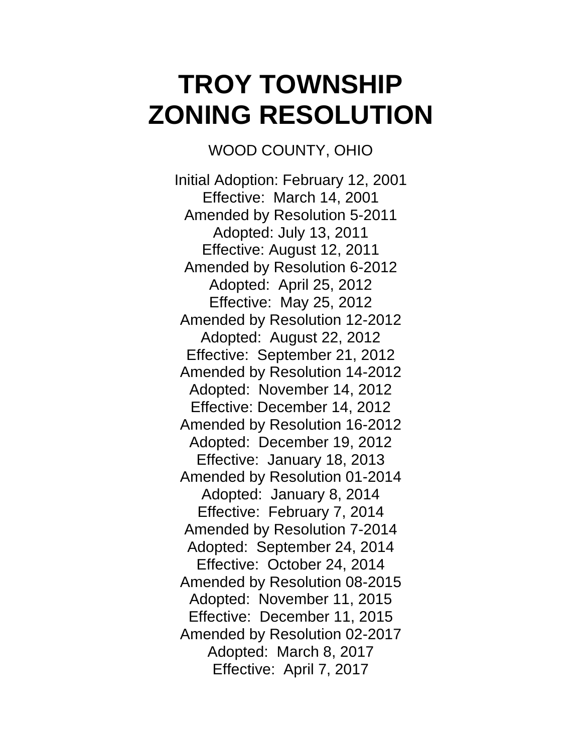## **TROY TOWNSHIP ZONING RESOLUTION**

WOOD COUNTY, OHIO

Initial Adoption: February 12, 2001 Effective: March 14, 2001 Amended by Resolution 5-2011 Adopted: July 13, 2011 Effective: August 12, 2011 Amended by Resolution 6-2012 Adopted: April 25, 2012 Effective: May 25, 2012 Amended by Resolution 12-2012 Adopted: August 22, 2012 Effective: September 21, 2012 Amended by Resolution 14-2012 Adopted: November 14, 2012 Effective: December 14, 2012 Amended by Resolution 16-2012 Adopted: December 19, 2012 Effective: January 18, 2013 Amended by Resolution 01-2014 Adopted: January 8, 2014 Effective: February 7, 2014 Amended by Resolution 7-2014 Adopted: September 24, 2014 Effective: October 24, 2014 Amended by Resolution 08-2015 Adopted: November 11, 2015 Effective: December 11, 2015 Amended by Resolution 02-2017 Adopted: March 8, 2017 Effective: April 7, 2017